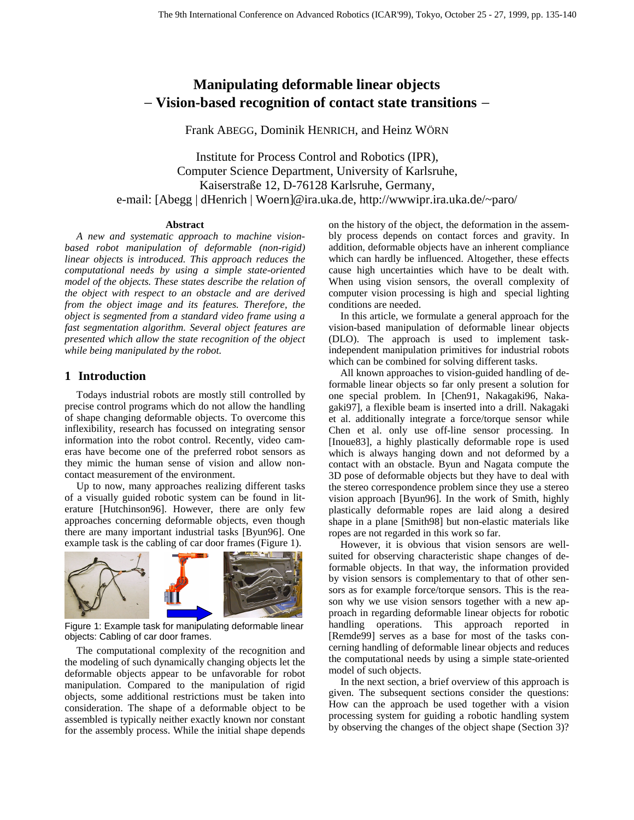# **Manipulating deformable linear objects** − **Vision-based recognition of contact state transitions** −

Frank ABEGG, Dominik HENRICH, and Heinz WÖRN

Institute for Process Control and Robotics (IPR), Computer Science Department, University of Karlsruhe, Kaiserstraße 12, D-76128 Karlsruhe, Germany, e-mail: [Abegg | dHenrich | Woern]@ira.uka.de, http://wwwipr.ira.uka.de/~paro/

#### **Abstract**

*A new and systematic approach to machine visionbased robot manipulation of deformable (non-rigid) linear objects is introduced. This approach reduces the computational needs by using a simple state-oriented model of the objects. These states describe the relation of the object with respect to an obstacle and are derived from the object image and its features. Therefore, the object is segmented from a standard video frame using a fast segmentation algorithm. Several object features are presented which allow the state recognition of the object while being manipulated by the robot.*

## **1 Introduction**

Todays industrial robots are mostly still controlled by precise control programs which do not allow the handling of shape changing deformable objects. To overcome this inflexibility, research has focussed on integrating sensor information into the robot control. Recently, video cameras have become one of the preferred robot sensors as they mimic the human sense of vision and allow noncontact measurement of the environment.

Up to now, many approaches realizing different tasks of a visually guided robotic system can be found in literature [Hutchinson96]. However, there are only few approaches concerning deformable objects, even though there are many important industrial tasks [Byun96]. One example task is the cabling of car door frames (Figure 1).



Figure 1: Example task for manipulating deformable linear objects: Cabling of car door frames.

The computational complexity of the recognition and the modeling of such dynamically changing objects let the deformable objects appear to be unfavorable for robot manipulation. Compared to the manipulation of rigid objects, some additional restrictions must be taken into consideration. The shape of a deformable object to be assembled is typically neither exactly known nor constant for the assembly process. While the initial shape depends

on the history of the object, the deformation in the assembly process depends on contact forces and gravity. In addition, deformable objects have an inherent compliance which can hardly be influenced. Altogether, these effects cause high uncertainties which have to be dealt with. When using vision sensors, the overall complexity of computer vision processing is high and special lighting conditions are needed.

In this article, we formulate a general approach for the vision-based manipulation of deformable linear objects (DLO). The approach is used to implement taskindependent manipulation primitives for industrial robots which can be combined for solving different tasks.

All known approaches to vision-guided handling of deformable linear objects so far only present a solution for one special problem. In [Chen91, Nakagaki96, Nakagaki97], a flexible beam is inserted into a drill. Nakagaki et al. additionally integrate a force/torque sensor while Chen et al. only use off-line sensor processing. In [Inoue83], a highly plastically deformable rope is used which is always hanging down and not deformed by a contact with an obstacle. Byun and Nagata compute the 3D pose of deformable objects but they have to deal with the stereo correspondence problem since they use a stereo vision approach [Byun96]. In the work of Smith, highly plastically deformable ropes are laid along a desired shape in a plane [Smith98] but non-elastic materials like ropes are not regarded in this work so far.

However, it is obvious that vision sensors are wellsuited for observing characteristic shape changes of deformable objects. In that way, the information provided by vision sensors is complementary to that of other sensors as for example force/torque sensors. This is the reason why we use vision sensors together with a new approach in regarding deformable linear objects for robotic handling operations. This approach reported in [Remde99] serves as a base for most of the tasks concerning handling of deformable linear objects and reduces the computational needs by using a simple state-oriented model of such objects.

In the next section, a brief overview of this approach is given. The subsequent sections consider the questions: How can the approach be used together with a vision processing system for guiding a robotic handling system by observing the changes of the object shape (Section 3)?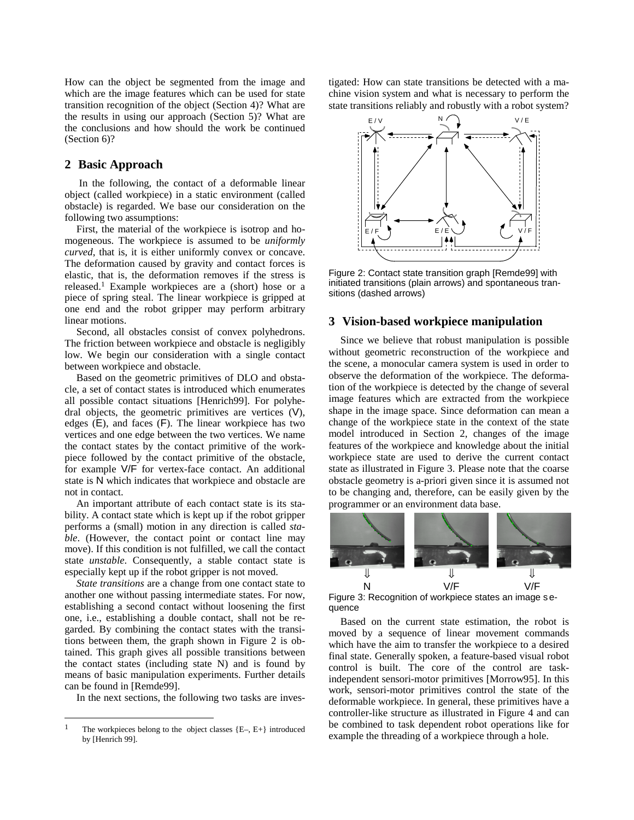How can the object be segmented from the image and which are the image features which can be used for state transition recognition of the object (Section 4)? What are the results in using our approach (Section 5)? What are the conclusions and how should the work be continued (Section 6)?

## **2 Basic Approach**

 In the following, the contact of a deformable linear object (called workpiece) in a static environment (called obstacle) is regarded. We base our consideration on the following two assumptions:

First, the material of the workpiece is isotrop and homogeneous. The workpiece is assumed to be *uniformly curved*, that is, it is either uniformly convex or concave. The deformation caused by gravity and contact forces is elastic, that is, the deformation removes if the stress is released.1 Example workpieces are a (short) hose or a piece of spring steal. The linear workpiece is gripped at one end and the robot gripper may perform arbitrary linear motions.

Second, all obstacles consist of convex polyhedrons. The friction between workpiece and obstacle is negligibly low. We begin our consideration with a single contact between workpiece and obstacle.

Based on the geometric primitives of DLO and obstacle, a set of contact states is introduced which enumerates all possible contact situations [Henrich99]. For polyhedral objects, the geometric primitives are vertices (V), edges (E), and faces (F). The linear workpiece has two vertices and one edge between the two vertices. We name the contact states by the contact primitive of the workpiece followed by the contact primitive of the obstacle, for example V/F for vertex-face contact. An additional state is N which indicates that workpiece and obstacle are not in contact.

An important attribute of each contact state is its stability. A contact state which is kept up if the robot gripper performs a (small) motion in any direction is called *stable*. (However, the contact point or contact line may move). If this condition is not fulfilled, we call the contact state *unstable*. Consequently, a stable contact state is especially kept up if the robot gripper is not moved.

*State transitions* are a change from one contact state to another one without passing intermediate states. For now, establishing a second contact without loosening the first one, i.e., establishing a double contact, shall not be regarded. By combining the contact states with the transitions between them, the graph shown in Figure 2 is obtained. This graph gives all possible transitions between the contact states (including state N) and is found by means of basic manipulation experiments. Further details can be found in [Remde99].

In the next sections, the following two tasks are inves-

 $\overline{a}$ 

tigated: How can state transitions be detected with a machine vision system and what is necessary to perform the state transitions reliably and robustly with a robot system?



Figure 2: Contact state transition graph [Remde99] with initiated transitions (plain arrows) and spontaneous transitions (dashed arrows)

## **3 Vision-based workpiece manipulation**

Since we believe that robust manipulation is possible without geometric reconstruction of the workpiece and the scene, a monocular camera system is used in order to observe the deformation of the workpiece. The deformation of the workpiece is detected by the change of several image features which are extracted from the workpiece shape in the image space. Since deformation can mean a change of the workpiece state in the context of the state model introduced in Section 2, changes of the image features of the workpiece and knowledge about the initial workpiece state are used to derive the current contact state as illustrated in Figure 3. Please note that the coarse obstacle geometry is a-priori given since it is assumed not to be changing and, therefore, can be easily given by the programmer or an environment data base.



Figure 3: Recognition of workpiece states an image s equence

Based on the current state estimation, the robot is moved by a sequence of linear movement commands which have the aim to transfer the workpiece to a desired final state. Generally spoken, a feature-based visual robot control is built. The core of the control are taskindependent sensori-motor primitives [Morrow95]. In this work, sensori-motor primitives control the state of the deformable workpiece. In general, these primitives have a controller-like structure as illustrated in Figure 4 and can be combined to task dependent robot operations like for example the threading of a workpiece through a hole.

<sup>&</sup>lt;sup>1</sup> The workpieces belong to the object classes  ${E-, E+}$  introduced by [Henrich 99].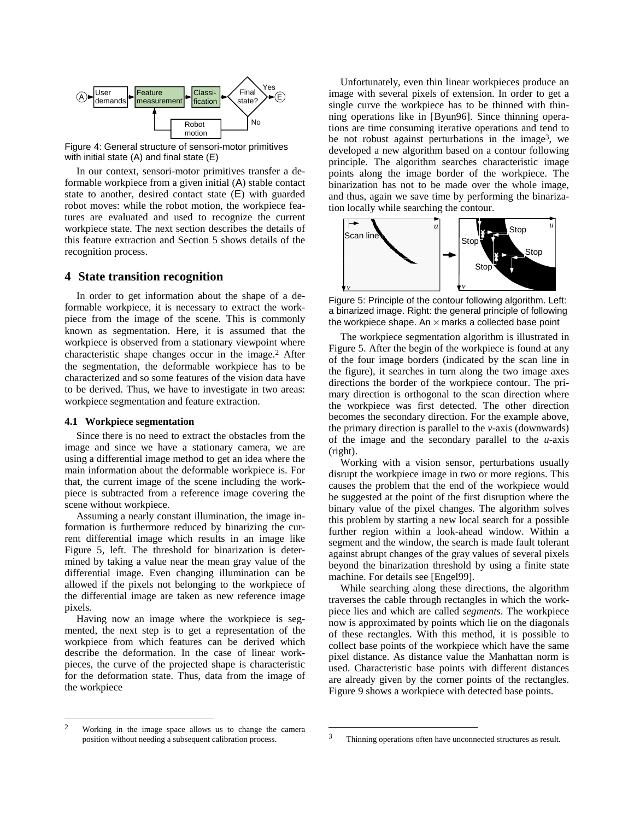

Figure 4: General structure of sensori-motor primitives with initial state (A) and final state (E)

In our context, sensori-motor primitives transfer a deformable workpiece from a given initial (A) stable contact state to another, desired contact state (E) with guarded robot moves: while the robot motion, the workpiece features are evaluated and used to recognize the current workpiece state. The next section describes the details of this feature extraction and Section 5 shows details of the recognition process.

## **4 State transition recognition**

In order to get information about the shape of a deformable workpiece, it is necessary to extract the workpiece from the image of the scene. This is commonly known as segmentation. Here, it is assumed that the workpiece is observed from a stationary viewpoint where characteristic shape changes occur in the image.2 After the segmentation, the deformable workpiece has to be characterized and so some features of the vision data have to be derived. Thus, we have to investigate in two areas: workpiece segmentation and feature extraction.

#### **4.1 Workpiece segmentation**

Since there is no need to extract the obstacles from the image and since we have a stationary camera, we are using a differential image method to get an idea where the main information about the deformable workpiece is. For that, the current image of the scene including the workpiece is subtracted from a reference image covering the scene without workpiece.

Assuming a nearly constant illumination, the image information is furthermore reduced by binarizing the current differential image which results in an image like Figure 5, left. The threshold for binarization is determined by taking a value near the mean gray value of the differential image. Even changing illumination can be allowed if the pixels not belonging to the workpiece of the differential image are taken as new reference image pixels.

Having now an image where the workpiece is segmented, the next step is to get a representation of the workpiece from which features can be derived which describe the deformation. In the case of linear workpieces, the curve of the projected shape is characteristic for the deformation state. Thus, data from the image of the workpiece

Unfortunately, even thin linear workpieces produce an image with several pixels of extension. In order to get a single curve the workpiece has to be thinned with thinning operations like in [Byun96]. Since thinning operations are time consuming iterative operations and tend to be not robust against perturbations in the image<sup>3</sup>, we developed a new algorithm based on a contour following principle. The algorithm searches characteristic image points along the image border of the workpiece. The binarization has not to be made over the whole image, and thus, again we save time by performing the binarization locally while searching the contour.



Figure 5: Principle of the contour following algorithm. Left: a binarized image. Right: the general principle of following the workpiece shape. An  $\times$  marks a collected base point

The workpiece segmentation algorithm is illustrated in Figure 5. After the begin of the workpiece is found at any of the four image borders (indicated by the scan line in the figure), it searches in turn along the two image axes directions the border of the workpiece contour. The primary direction is orthogonal to the scan direction where the workpiece was first detected. The other direction becomes the secondary direction. For the example above, the primary direction is parallel to the *v*-axis (downwards) of the image and the secondary parallel to the *u*-axis (right).

Working with a vision sensor, perturbations usually disrupt the workpiece image in two or more regions. This causes the problem that the end of the workpiece would be suggested at the point of the first disruption where the binary value of the pixel changes. The algorithm solves this problem by starting a new local search for a possible further region within a look-ahead window. Within a segment and the window, the search is made fault tolerant against abrupt changes of the gray values of several pixels beyond the binarization threshold by using a finite state machine. For details see [Engel99].

While searching along these directions, the algorithm traverses the cable through rectangles in which the workpiece lies and which are called *segments*. The workpiece now is approximated by points which lie on the diagonals of these rectangles. With this method, it is possible to collect base points of the workpiece which have the same pixel distance. As distance value the Manhattan norm is used. Characteristic base points with different distances are already given by the corner points of the rectangles. Figure 9 shows a workpiece with detected base points.

 $\overline{a}$ 

j

<sup>2</sup> Working in the image space allows us to change the camera position without needing a subsequent calibration process.

<sup>3</sup> Thinning operations often have unconnected structures as result.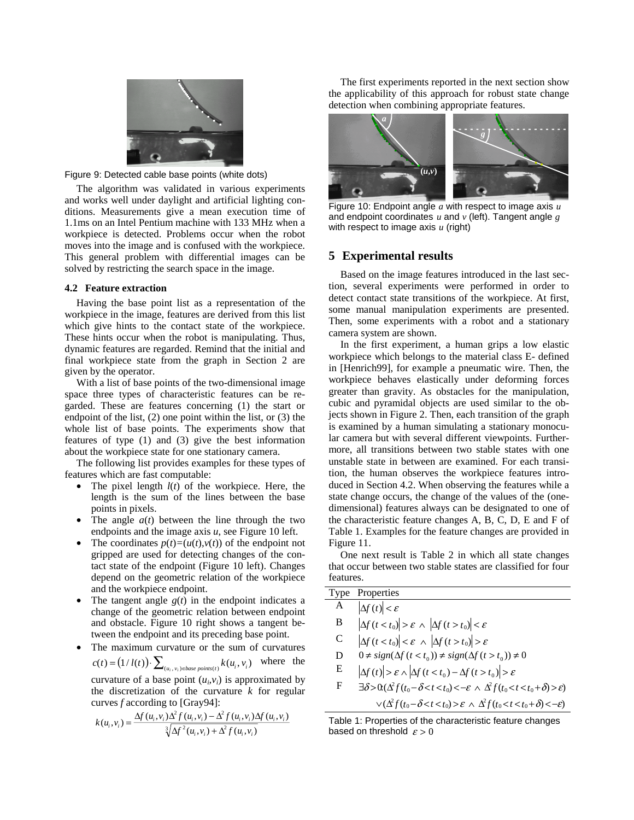

Figure 9: Detected cable base points (white dots)

The algorithm was validated in various experiments and works well under daylight and artificial lighting conditions. Measurements give a mean execution time of 1.1ms on an Intel Pentium machine with 133 MHz when a workpiece is detected. Problems occur when the robot moves into the image and is confused with the workpiece. This general problem with differential images can be solved by restricting the search space in the image.

## **4.2 Feature extraction**

Having the base point list as a representation of the workpiece in the image, features are derived from this list which give hints to the contact state of the workpiece. These hints occur when the robot is manipulating. Thus, dynamic features are regarded. Remind that the initial and final workpiece state from the graph in Section 2 are given by the operator.

With a list of base points of the two-dimensional image space three types of characteristic features can be regarded. These are features concerning (1) the start or endpoint of the list, (2) one point within the list, or (3) the whole list of base points. The experiments show that features of type (1) and (3) give the best information about the workpiece state for one stationary camera.

The following list provides examples for these types of features which are fast computable:

- The pixel length *l*(*t*) of the workpiece. Here, the length is the sum of the lines between the base points in pixels.
- The angle  $a(t)$  between the line through the two endpoints and the image axis *u*, see Figure 10 left.
- The coordinates  $p(t) = (u(t), v(t))$  of the endpoint not gripped are used for detecting changes of the contact state of the endpoint (Figure 10 left). Changes depend on the geometric relation of the workpiece and the workpiece endpoint.
- The tangent angle  $g(t)$  in the endpoint indicates a change of the geometric relation between endpoint and obstacle. Figure 10 right shows a tangent between the endpoint and its preceding base point.
- The maximum curvature or the sum of curvatures  $c(t) = (1 / l(t)) \cdot \sum_{(u_i, v_i) \in base \ points(t)} k(u_i, v_i)$  where the curvature of a base point  $(u_i, v_i)$  is approximated by the discretization of the curvature *k* for regular curves *f* according to [Gray94]:

$$
k(u_i, v_i) = \frac{\Delta f(u_i, v_i)\Delta^2 f(u_i, v_i) - \Delta^2 f(u_i, v_i)\Delta f(u_i, v_i)}{\sqrt[3]{\Delta f^2(u_i, v_i) + \Delta^2 f(u_i, v_i)}}
$$

The first experiments reported in the next section show the applicability of this approach for robust state change detection when combining appropriate features.



Figure 10: Endpoint angle *a* with respect to image axis *u* and endpoint coordinates *u* and *v* (left). Tangent angle *g* with respect to image axis *u* (right)

## **5 Experimental results**

Based on the image features introduced in the last section, several experiments were performed in order to detect contact state transitions of the workpiece. At first, some manual manipulation experiments are presented. Then, some experiments with a robot and a stationary camera system are shown.

In the first experiment, a human grips a low elastic workpiece which belongs to the material class E- defined in [Henrich99], for example a pneumatic wire. Then, the workpiece behaves elastically under deforming forces greater than gravity. As obstacles for the manipulation, cubic and pyramidal objects are used similar to the objects shown in Figure 2. Then, each transition of the graph is examined by a human simulating a stationary monocular camera but with several different viewpoints. Furthermore, all transitions between two stable states with one unstable state in between are examined. For each transition, the human observes the workpiece features introduced in Section 4.2. When observing the features while a state change occurs, the change of the values of the (onedimensional) features always can be designated to one of the characteristic feature changes A, B, C, D, E and F of Table 1. Examples for the feature changes are provided in Figure 11.

One next result is Table 2 in which all state changes that occur between two stable states are classified for four features.

| A<br>$\left \Delta f(t)\right  < \varepsilon$<br>B<br>$\left \Delta f(t < t_0)\right  > \varepsilon \wedge \left \Delta f(t > t_0)\right  < \varepsilon$<br>$\left \Delta f(t < t_0)\right  < \varepsilon \ \wedge \ \left \Delta f(t > t_0)\right  > \varepsilon$<br>C<br>$0 \neq sign(\Delta f(t < t_0)) \neq sign(\Delta f(t > t_0)) \neq 0$<br>D<br>E<br>$\left \Delta f(t)\right  > \varepsilon \wedge \left \Delta f(t < t_0) - \Delta f(t > t_0)\right  > \varepsilon$<br>F<br>$\exists \delta > 0 \left( \Delta^2 f(t_0 - \delta < t < t_0 \right) < -\varepsilon \wedge \Delta^2 f(t_0 < t < t_0 + \delta) > \varepsilon$<br>$\vee(\Delta^2 f(t_0-\delta < t < t_0) > \varepsilon \wedge \Delta^2 f(t_0 < t < t_0+\delta) < -\varepsilon)$ | <b>Type Properties</b> |
|-----------------------------------------------------------------------------------------------------------------------------------------------------------------------------------------------------------------------------------------------------------------------------------------------------------------------------------------------------------------------------------------------------------------------------------------------------------------------------------------------------------------------------------------------------------------------------------------------------------------------------------------------------------------------------------------------------------------------------------------------------|------------------------|
|                                                                                                                                                                                                                                                                                                                                                                                                                                                                                                                                                                                                                                                                                                                                                     |                        |
|                                                                                                                                                                                                                                                                                                                                                                                                                                                                                                                                                                                                                                                                                                                                                     |                        |
|                                                                                                                                                                                                                                                                                                                                                                                                                                                                                                                                                                                                                                                                                                                                                     |                        |
|                                                                                                                                                                                                                                                                                                                                                                                                                                                                                                                                                                                                                                                                                                                                                     |                        |
|                                                                                                                                                                                                                                                                                                                                                                                                                                                                                                                                                                                                                                                                                                                                                     |                        |
|                                                                                                                                                                                                                                                                                                                                                                                                                                                                                                                                                                                                                                                                                                                                                     |                        |
|                                                                                                                                                                                                                                                                                                                                                                                                                                                                                                                                                                                                                                                                                                                                                     |                        |

Table 1: Properties of the characteristic feature changes based on threshold  $\varepsilon > 0$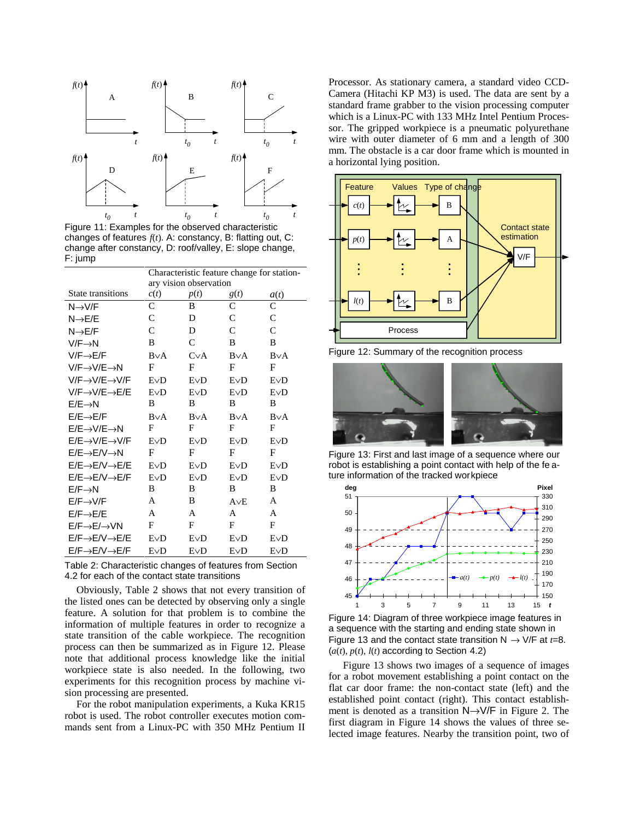

Figure 11: Examples for the observed characteristic changes of features *f*(*t*). A: constancy, B: flatting out, C: change after constancy, D: roof/valley, E: slope change, F: jump

|                                       | Characteristic feature change for station- |           |           |              |
|---------------------------------------|--------------------------------------------|-----------|-----------|--------------|
|                                       | ary vision observation                     |           |           |              |
| State transitions                     | c(t)                                       | p(t)      | g(t)      | a(t)         |
| $N \rightarrow V/F$                   | C                                          | B         | C         | C            |
| $N \rightarrow E/E$                   | C                                          | D         | C         | C            |
| $N \rightarrow E/F$                   | $\mathcal{C}$                              | D         | C         | $\mathsf{C}$ |
| $V/F \rightarrow N$                   | B                                          | C         | B         | B            |
| $V/F \rightarrow E/F$                 | $B\vee A$                                  | $C\vee A$ | $B\vee A$ | $B\vee A$    |
| V/F→V/E→N                             | $\mathbf F$                                | F         | F         | F            |
| V/F→V/E→V/F                           | EVD                                        | EVD       | EVD       | EVD          |
| $V/F \rightarrow V/F \rightarrow E/E$ | EVD                                        | EVD       | EVD       | EVD          |
| $E/E \rightarrow N$                   | B                                          | B         | B         | B            |
| $E/E \rightarrow E/F$                 | $B\vee A$                                  | $B\vee A$ | $B\vee A$ | $B\vee A$    |
| $E/E \rightarrow V/E \rightarrow N$   | F                                          | F         | F         | F            |
| $E/E \rightarrow V/E \rightarrow V/F$ | EVD                                        | EVD       | EVD       | EVD          |
| $E/E \rightarrow E/V \rightarrow N$   | $\mathbf F$                                | F         | F         | F            |
| $E/E \rightarrow E/V \rightarrow E/E$ | EVD                                        | EVD       | EVD       | EVD          |
| $E/E \rightarrow E/V \rightarrow E/F$ | EVD                                        | EVD       | EVD       | EVD          |
| $E/F \rightarrow N$                   | B.                                         | B         | B         | B            |
| $E/F \rightarrow V/F$                 | A                                          | B         | $A\vee E$ | A            |
| $E/F \rightarrow E/E$                 | A                                          | A         | A         | A            |
| $E/F \rightarrow E/\rightarrow VN$    | F                                          | F         | F         | F            |
| $E/F \rightarrow E/V \rightarrow E/E$ | EVD                                        | EVD       | EVD       | EVD          |
| $E/F \rightarrow E/V \rightarrow E/F$ | EVD                                        | EVD       | EVD       | EVD          |

Table 2: Characteristic changes of features from Section 4.2 for each of the contact state transitions

Obviously, Table 2 shows that not every transition of the listed ones can be detected by observing only a single feature. A solution for that problem is to combine the information of multiple features in order to recognize a state transition of the cable workpiece. The recognition process can then be summarized as in Figure 12. Please note that additional process knowledge like the initial workpiece state is also needed. In the following, two experiments for this recognition process by machine vision processing are presented.

For the robot manipulation experiments, a Kuka KR15 robot is used. The robot controller executes motion commands sent from a Linux-PC with 350 MHz Pentium II Processor. As stationary camera, a standard video CCD-Camera (Hitachi KP M3) is used. The data are sent by a standard frame grabber to the vision processing computer which is a Linux-PC with 133 MHz Intel Pentium Processor. The gripped workpiece is a pneumatic polyurethane wire with outer diameter of 6 mm and a length of 300 mm. The obstacle is a car door frame which is mounted in a horizontal lying position.



Figure 12: Summary of the recognition process



Figure 13: First and last image of a sequence where our robot is establishing a point contact with help of the fe ature information of the tracked workpiece





 Figure 13 shows two images of a sequence of images for a robot movement establishing a point contact on the flat car door frame: the non-contact state (left) and the established point contact (right). This contact establishment is denoted as a transition N→V/F in Figure 2. The first diagram in Figure 14 shows the values of three selected image features. Nearby the transition point, two of